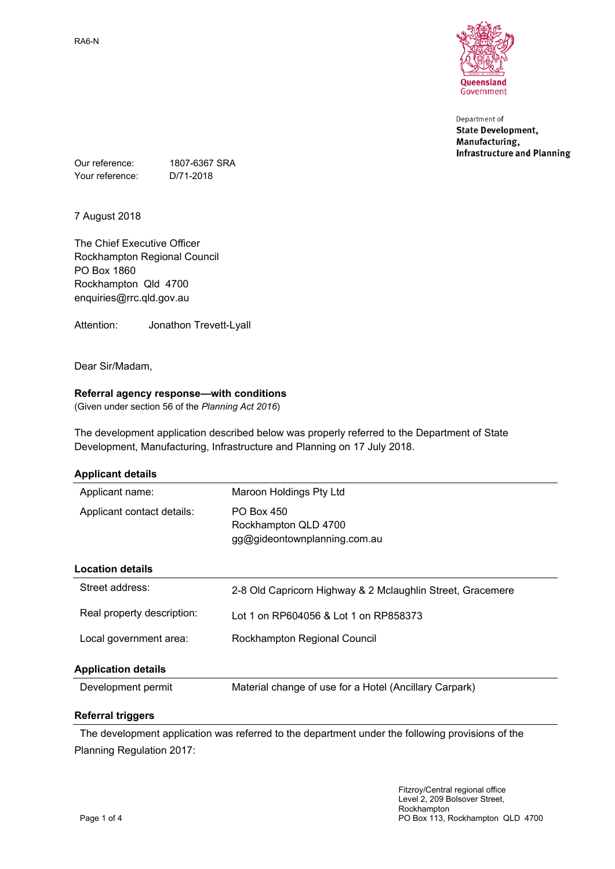

Department of **State Development,** Manufacturing, **Infrastructure and Planning** 

Our reference: 1807-6367 SRA Your reference: D/71-2018

7 August 2018

The Chief Executive Officer Rockhampton Regional Council PO Box 1860 Rockhampton Qld 4700 enquiries@rrc.qld.gov.au

Attention: Jonathon Trevett-Lyall

Dear Sir/Madam,

## **Referral agency response—with conditions**

(Given under section 56 of the *Planning Act 2016*)

The development application described below was properly referred to the Department of State Development, Manufacturing, Infrastructure and Planning on 17 July 2018.

| <b>Applicant details</b>   |                                                                    |  |  |
|----------------------------|--------------------------------------------------------------------|--|--|
| Applicant name:            | Maroon Holdings Pty Ltd                                            |  |  |
| Applicant contact details: | PO Box 450<br>Rockhampton QLD 4700<br>gg@gideontownplanning.com.au |  |  |
| <b>Location details</b>    |                                                                    |  |  |
| Street address:            | 2-8 Old Capricorn Highway & 2 Mclaughlin Street, Gracemere         |  |  |
| Real property description: | Lot 1 on RP604056 & Lot 1 on RP858373                              |  |  |
| Local government area:     | Rockhampton Regional Council                                       |  |  |
| <b>Application details</b> |                                                                    |  |  |
| Development permit         | Material change of use for a Hotel (Ancillary Carpark)             |  |  |
| Referral triggers          |                                                                    |  |  |

The development application was referred to the department under the following provisions of the Planning Regulation 2017: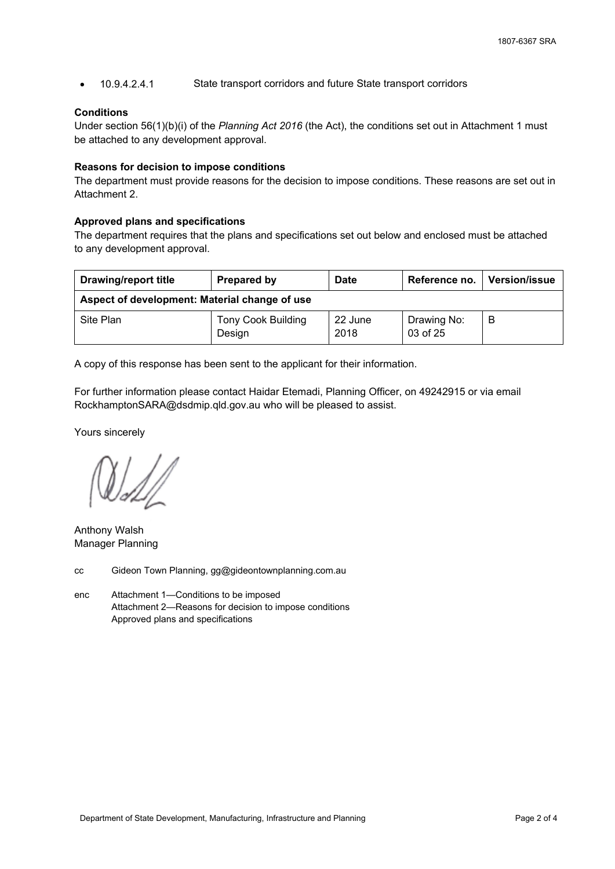10.9.4.2.4.1 State transport corridors and future State transport corridors

#### **Conditions**

Under section 56(1)(b)(i) of the *Planning Act 2016* (the Act), the conditions set out in Attachment 1 must be attached to any development approval.

### **Reasons for decision to impose conditions**

The department must provide reasons for the decision to impose conditions. These reasons are set out in Attachment 2.

## **Approved plans and specifications**

The department requires that the plans and specifications set out below and enclosed must be attached to any development approval.

| <b>Drawing/report title</b>                   | Prepared by                         | <b>Date</b>     | Reference no.           | <b>Version/issue</b> |  |  |
|-----------------------------------------------|-------------------------------------|-----------------|-------------------------|----------------------|--|--|
| Aspect of development: Material change of use |                                     |                 |                         |                      |  |  |
| Site Plan                                     | <b>Tony Cook Building</b><br>Design | 22 June<br>2018 | Drawing No:<br>03 of 25 | B                    |  |  |

A copy of this response has been sent to the applicant for their information.

For further information please contact Haidar Etemadi, Planning Officer, on 49242915 or via email RockhamptonSARA@dsdmip.qld.gov.au who will be pleased to assist.

Yours sincerely

Anthony Walsh Manager Planning

cc Gideon Town Planning, gg@gideontownplanning.com.au

enc Attachment 1—Conditions to be imposed Attachment 2—Reasons for decision to impose conditions Approved plans and specifications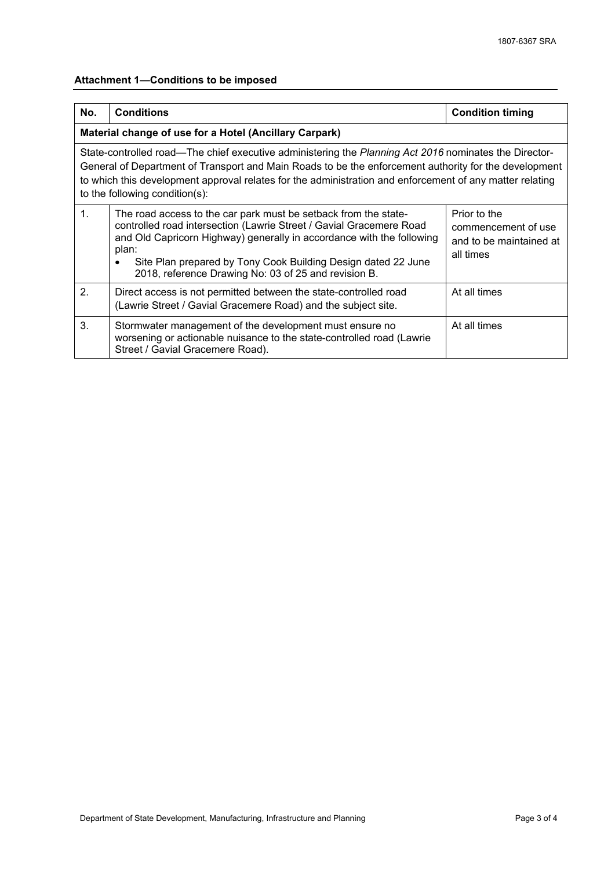# **Attachment 1—Conditions to be imposed**

| No.                                                                                                                                                                                                                                                                                                                                                          | <b>Conditions</b>                                                                                                                                                                                                                                                                                                                                 | <b>Condition timing</b>                                                     |  |  |  |
|--------------------------------------------------------------------------------------------------------------------------------------------------------------------------------------------------------------------------------------------------------------------------------------------------------------------------------------------------------------|---------------------------------------------------------------------------------------------------------------------------------------------------------------------------------------------------------------------------------------------------------------------------------------------------------------------------------------------------|-----------------------------------------------------------------------------|--|--|--|
| Material change of use for a Hotel (Ancillary Carpark)                                                                                                                                                                                                                                                                                                       |                                                                                                                                                                                                                                                                                                                                                   |                                                                             |  |  |  |
| State-controlled road—The chief executive administering the Planning Act 2016 nominates the Director-<br>General of Department of Transport and Main Roads to be the enforcement authority for the development<br>to which this development approval relates for the administration and enforcement of any matter relating<br>to the following condition(s): |                                                                                                                                                                                                                                                                                                                                                   |                                                                             |  |  |  |
| $\mathbf{1}$ .                                                                                                                                                                                                                                                                                                                                               | The road access to the car park must be setback from the state-<br>controlled road intersection (Lawrie Street / Gavial Gracemere Road<br>and Old Capricorn Highway) generally in accordance with the following<br>plan:<br>Site Plan prepared by Tony Cook Building Design dated 22 June<br>2018, reference Drawing No: 03 of 25 and revision B. | Prior to the<br>commencement of use<br>and to be maintained at<br>all times |  |  |  |
| 2.                                                                                                                                                                                                                                                                                                                                                           | Direct access is not permitted between the state-controlled road<br>(Lawrie Street / Gavial Gracemere Road) and the subject site.                                                                                                                                                                                                                 | At all times                                                                |  |  |  |
| 3.                                                                                                                                                                                                                                                                                                                                                           | Stormwater management of the development must ensure no<br>worsening or actionable nuisance to the state-controlled road (Lawrie<br>Street / Gavial Gracemere Road).                                                                                                                                                                              | At all times                                                                |  |  |  |